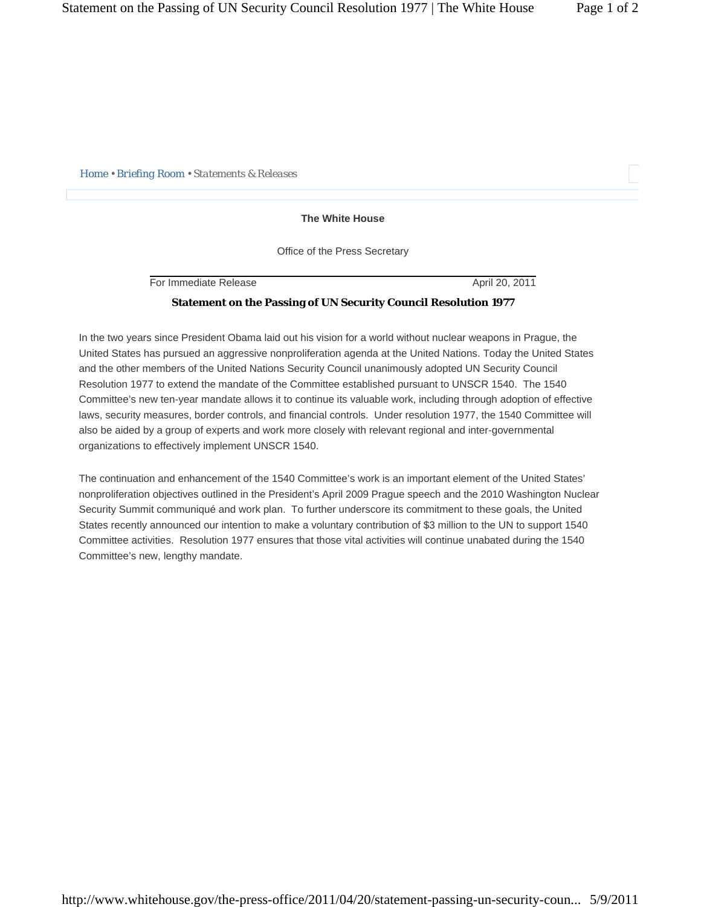*Home • Briefing Room • Statements & Releases* 

## **The White House**

Office of the Press Secretary

For Immediate Release April 20, 2011

## **Statement on the Passing of UN Security Council Resolution 1977**

In the two years since President Obama laid out his vision for a world without nuclear weapons in Prague, the United States has pursued an aggressive nonproliferation agenda at the United Nations. Today the United States and the other members of the United Nations Security Council unanimously adopted UN Security Council Resolution 1977 to extend the mandate of the Committee established pursuant to UNSCR 1540. The 1540 Committee's new ten-year mandate allows it to continue its valuable work, including through adoption of effective laws, security measures, border controls, and financial controls. Under resolution 1977, the 1540 Committee will also be aided by a group of experts and work more closely with relevant regional and inter-governmental organizations to effectively implement UNSCR 1540.

The continuation and enhancement of the 1540 Committee's work is an important element of the United States' nonproliferation objectives outlined in the President's April 2009 Prague speech and the 2010 Washington Nuclear Security Summit communiqué and work plan. To further underscore its commitment to these goals, the United States recently announced our intention to make a voluntary contribution of \$3 million to the UN to support 1540 Committee activities. Resolution 1977 ensures that those vital activities will continue unabated during the 1540 Committee's new, lengthy mandate.